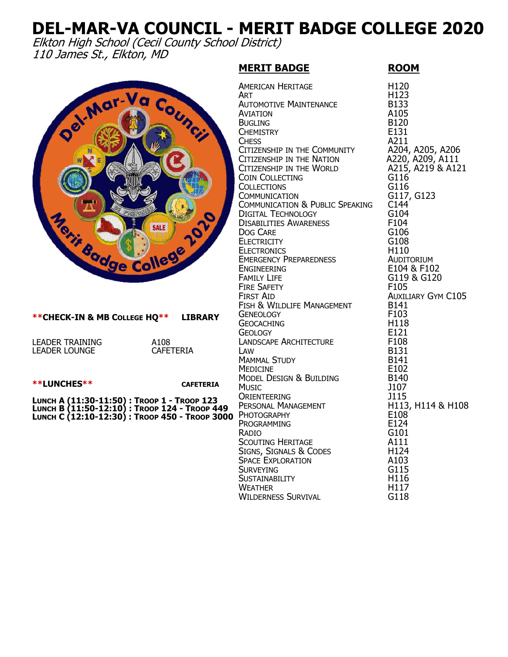## **DEL-MAR-VA COUNCIL - MERIT BADGE COLLEGE 2020**

Elkton High School (Cecil County School District) 110 James St., Elkton, MD

## **MERIT BADGE ROOM**

| od. Mar. Va Council<br>Nerit Bodge College 201                                                                                                 | <b>AMERICAN HERITAGE</b><br><b>ART</b><br><b>AUTOMOTIVE MAINTENANCE</b><br><b>AVIATION</b><br><b>BUGLING</b><br><b>CHEMISTRY</b><br><b>CHESS</b><br>CITIZENSHIP IN THE COMMUNITY<br>CITIZENSHIP IN THE NATION<br>CITIZENSHIP IN THE WORLD<br><b>COIN COLLECTING</b><br><b>COLLECTIONS</b><br><b>COMMUNICATION</b><br>COMMUNICATION & PUBLIC SPEAKING<br><b>DIGITAL TECHNOLOGY</b><br><b>DISABILITIES AWARENESS</b><br><b>DOG CARE</b><br><b>ELECTRICITY</b><br><b>ELECTRONICS</b><br><b>EMERGENCY PREPAREDNESS</b><br><b>ENGINEERING</b><br><b>FAMILY LIFE</b><br><b>FIRE SAFETY</b><br><b>FIRST AID</b> | H120<br>H123<br><b>B133</b><br>A105<br><b>B120</b><br>E131<br>A211<br>A204, A205, A206<br>A220, A209, A111<br>A215, A219 & A121<br>G116<br>G116<br>G117, G123<br>C144<br>G104<br>F104<br>G106<br>G108<br>H110<br>AUDITORIUM<br>E104 & F102<br>G119 & G120<br>F105<br><b>AUXILIARY GYM C105</b> |
|------------------------------------------------------------------------------------------------------------------------------------------------|----------------------------------------------------------------------------------------------------------------------------------------------------------------------------------------------------------------------------------------------------------------------------------------------------------------------------------------------------------------------------------------------------------------------------------------------------------------------------------------------------------------------------------------------------------------------------------------------------------|------------------------------------------------------------------------------------------------------------------------------------------------------------------------------------------------------------------------------------------------------------------------------------------------|
| **CHECK-IN & MB COLLEGE HQ** LIBRARY                                                                                                           | FISH & WILDLIFE MANAGEMENT<br><b>GENEOLOGY</b><br><b>GEOCACHING</b><br><b>GEOLOGY</b>                                                                                                                                                                                                                                                                                                                                                                                                                                                                                                                    | B141<br>F <sub>103</sub><br>H118<br>E121                                                                                                                                                                                                                                                       |
| LEADER TRAINING<br>A108<br><b>CAFETERIA</b><br>LEADER LOUNGE                                                                                   | LANDSCAPE ARCHITECTURE<br>LAW<br><b>MAMMAL STUDY</b><br><b>MEDICINE</b>                                                                                                                                                                                                                                                                                                                                                                                                                                                                                                                                  | F108<br><b>B131</b><br>B141<br>E102                                                                                                                                                                                                                                                            |
| <b>**LUNCHES**</b><br><b>CAFETERIA</b>                                                                                                         | MODEL DESIGN & BUILDING<br><b>MUSIC</b>                                                                                                                                                                                                                                                                                                                                                                                                                                                                                                                                                                  | <b>B140</b><br>J107                                                                                                                                                                                                                                                                            |
| Lunch A (11:30-11:50) : Troop 1 - Troop 123<br>Lunch B (11:50-12:10) : Troop 124 - Troop 449<br>Lunch C (12:10-12:30) : Troop 450 - Troop 3000 | <b>ORIENTEERING</b><br>PERSONAL MANAGEMENT<br>PHOTOGRAPHY<br>PROGRAMMING<br>Radio<br><b>SCOUTING HERITAGE</b><br>SIGNS, SIGNALS & CODES<br><b>SPACE EXPLORATION</b><br><b>SURVEYING</b><br><b>SUSTAINABILITY</b><br><b>WEATHER</b><br><b>WILDERNESS SURVIVAL</b>                                                                                                                                                                                                                                                                                                                                         | J115<br>H113, H114 & H108<br>E108<br>E124<br>G101<br>A111<br>H124<br>A103<br>G115<br>H116<br>H117<br>G118                                                                                                                                                                                      |